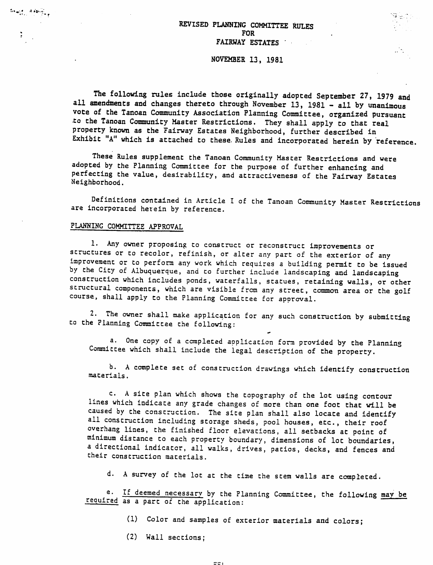# REVISED PLANNING COMMITTEE RULES FOR FAIRWAY ESTATES '

#### NOVEMBER 13, 1981

The following rules include those originally adopted September 27, 1979 and all amendments and changes thereto through November 13, 1981 - all by unanimous vote of the Tanoan Community Association Planning Committee, organized pursuant •to the Tanoan Community Master Restrictions. They shall apply to that real property known as the Fairway Estates Neighborhood, further described in Exhibit "A" which is attached to these. Rules and incorporated herein by reference.

These Rules supplement the Tanoan Community Master Restrictions and were adopted by the Planning Committee for the purpose of further enhancing and perfecting the value, desirability, and attractiveness of the Fairway Estates Neighborhood.

Definitions contained in Article I of the Tanoan Community Master Restrictions are incorporated herein by reference.

# PLANNING COMMITTEE APPROVAL

 $\lim_{\epsilon \to 0} \frac{1}{\epsilon} \leq \frac{1}{\epsilon} \lim_{\epsilon \to 0} \frac{1}{\epsilon} \int_{\epsilon}$ 

1. Any owner proposing to construct or reconstruct improvements or structures or to recolor, refinish, or alter any part of the exterior of any improvement or to perform any work which requires a building permit to be issued by the City of Albuquerque, and to further include landscaping and landscaping construction which includes ponds, waterfalls, statues, retaining walls, or other structural components, which are visible from any street, common area or the golf course, shall apply to the Planning Committee for approval.

2. The owner shall make application for any such construction by submitting to the Planning Committee the following:

a. One copy of a completed application form provided by the Planning Committee which shall include the legal description of the property.

b. A complete set of construction drawings which identify construction materials.

c. A site plan which shows the topography of the lot using contour lines which indicate any grade changes of more than one foot that will be caused by the construction. The sice plan shall also locate and identify all construction including storage sheds, pool houses, etc., their roof overhang lines, the finished floor elevations, all setbacks at point of minimum distance to each property boundary, dimensions of lot boundaries, a directional indicator, all walks, drives, patios, decks, and fences and their construction materials.

d. A survey of the lot at the time the stem walls are completed.

e. If deemed necessary by the Planning Committee, the following may be required as a part of the application:

- (1) Color and samples of exterior materials and colors;
- (2) Wall sections;

 $\Xi \Xi$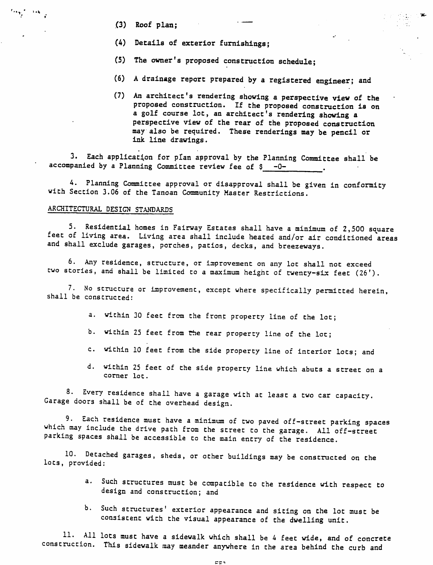- (3) Roof plan;
- (4) Details of exterior furnishings;
- (5) The owner's proposed construction schedule;
- (6) A drainage report prepared by a registered engineer; and
- (7) An architect's rendering showing a perspective view of the proposed construction. If the proposed construction is on a golf course lot, an architect's rendering showing a perspective view of the rear of the proposed construction may also be required. These renderings may be pencil or ink line drawings.

3. Each application for plan approval by the Planning Committee shall be accompanied by a Planning Committee review fee of  $$ -0-$ 

4. Planning Committee approval or disapproval shall be given in conformity with Section 3.06 of the Tanoan Community Master Restrictions.

# ARCHITECTURAL DESIGN STANDARDS

5. Residential homes in Fairway Estates shall have a minimum of 2,500 square feet of living area. Living area shall include heated and/or air conditioned areas and shall exclude garages, porches, patios, decks, and breezeways.

6. Any residence, structure, or improvement on any lot shall not exceed two stories, and shall be limited to a maximum height of twenty-six feet (26').

7. No structure or improvement, except where specifically permitted herein, shall be constructed:

- a. within 30 feet from the front property line of the lot;
- b. within 25 feet from the rear property line of the lot;
- c. within 10 feet from the side property line of interior lots; and
- d. within <sup>25</sup> feet of the side property line which abuts a street on a corner lot.

8. Every residence shall have a garage with at least a two car capacity. Garage doors shall be of the overhead design.

9. Each residence must have a minimum of two paved off-street parking spaces which may include the drive path from the street to the garage. All off-street parking spaces shall be accessible to the main entry of the residence.

10. Detached garages, sheds, or other buildings may be constructed on the lots, provided:

- a. Such structures must be compatible to the residence with respect to design and construction; and
- b. Such structures' exterior appearance and siting on the lot must be consistent with the visual appearance of the dwelling unit.

11. All lots must have a sidewalk which shall be 4 feet wide, and of concrete construction. This sidewalk may meander anywhere in the area behind the curb and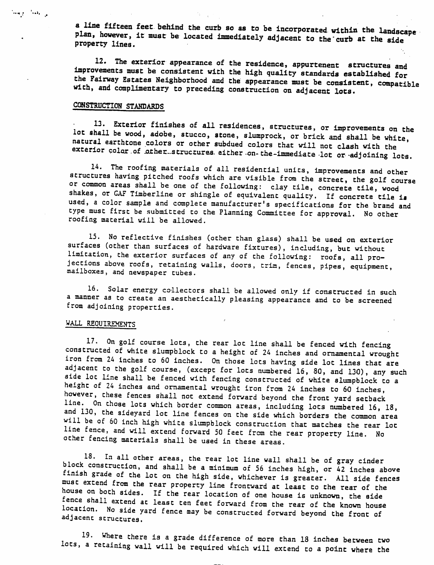a line fifteen feet behind the curb so as to be incorporated within the landscape plan, however, it must be located immediately adjacent to the "curb at the side property lines.

12. The exterior appearance of the residence, appurtenent structures and improvements must be consistent with the high quality standards established for the Fairway Estates Neighborhood and the appearance must be consistent, compatible with, and complimentary to preceding construction on adjacent lots.

# CONSTRUCTION STANDARDS

للي العمل المرسمة

13. Exterior finishes of all residences, structures, or improvements on the lot shall be wood, adobe, stucco, stone, slumprock, or brick and shall be white, natural earthtone colors or other subdued colors that will not clash with the exterior color of other structures either on the-immediate lot or adjoining lots.

14. The roofing materials of all residential units, improvements and other structures having pitched roofs which are visible from the street, the golf course or common areas shall be one of the following: clay tile, concrete tile, wood shakes, or GAF Timberline or shingle of equivalent quality. If concrete tile is used, a color sample and complete manufacturer's specifications for the brand and type must first be submitted to the Planning Committee for approval. No other roofing material will be allowed.

15. No reflective finishes (other than glass) shall be used on exterior surfaces (other than surfaces of hardware fixtures), including, but without limitation, the exterior surfaces of any of the following: roofs, all pro jections above roofs, retaining walls, doors, trim, fences, pipes, equipment, mailboxes, and newspaper tubes.

16. Solar energy collectors shall be allowed only if constructed in such a manner as to create an aesthetically pleasing appearance and to be screened from adjoining properties.

#### WALL REQUIREMENTS

17. On golf course lots, the rear lot line shall be fenced with fencing constructed of white slumpblock to a height of <sup>24</sup> inches and ornamental wrought iron from 24 inches to 60 inches. On those lots having side lot lines that are adjacent to the golf course, (except for lots numbered 16, 80, and 130), any such aide lot line shall be fenced with fencing constructed of white slumpblock to a height of 24 inches and ornamental wrought iron from 24 inches to 60 inches, however, these fences shall not extend forward beyond the front yard setback<br>line. On those lots which border common areas, including lots numbered 16, 18, and 130, the sideyard lot line fences on the side which borders the common area will be of 60 inch high white slumpblock construction that matches the rear lot line fence, and will extend forward 50 feet from the rear property line. No other fencing materials shall be used in these areas.

18. In all other areas, the rear lot line wall shall be of gray cinder block construction, and shall be a minimum of 56 inches high, or 42 inches above finish grade of the lot on the high side, whichever is greater. All side fences must extend from the rear property line frontward at least to the rear of the nouse on both sides. If the rear location of one house is unknown, the side fence shall extend at least ten feet forward from the rear of the known house location. No side yard fence may be constructed forward beyond the front of adjacent structures.

19. Where there is a grade difference of more than <sup>18</sup> inches between two lots, a retaining wall will be required which will extend to a point where the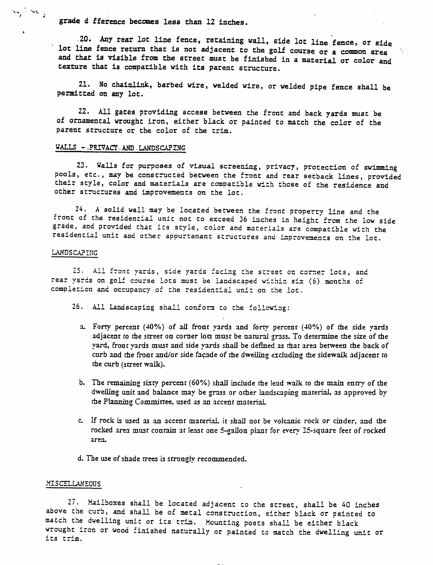*grade* d fference *becomes* less than 12 inches.

20. Any *rear* lot line fence, retaining wall, side lot line fence, or side lot line fence return that is not adjacent to the golf course or a common area and that is visible from the street must be finished in a material or color and texture that is compatible with its parent structure.

21. No chainlink, barbed wire, welded wire, or welded pipe fence shall be permitted on any lot.

22. All gates providing access between the front and back yards must be of ornamental wrought iron, either black or painted to match the color of the parent structure or the color of the trim.

### WALLS --PRIVACY.AND-LANDSCAPING

23. Walls for purposes of visual screening, privacy, protection of swimming pools, etc., may be constructed between the front and rear setback lines, provided their style, color and materials are compatible with those of the residence and other structures and improvements on the lot.

24. A solid wail may be located between the front property line and the front of the residential unit not to exceed 36 inches in height from the low side grade, and provided that its style, coior and materials are compatible with the residential unit and other appurtenant structures and improvements on the lot.

#### LANDSCAPING

 $\label{eq:1} \frac{\partial \phi_{\alpha\beta}(\vec{r})}{\partial \vec{r}} \approx \frac{1}{2} \frac{\partial \phi_{\alpha\beta}}{\partial \vec{r}}$ 

25. Ail front yards, side yards facing the street on corner lots, and rear yards on golf course lots must be landscaped within six (6) months of completion and occupancy of the residential unit on the lot.

- 26. All landscaping shall conform to the following:
	- a. Forty percent (40%) of ail front yards and forty percent (40%) of tne side yards adjacent to the street on corner lots must be natural grass. To determine the size of the yard, front yards must and side yards shall be defined as that area between the back of curb and the front and/or side facade of the dwelling excluding the sidewalk adjacent to the curb (street walk).
	- b. The remaining sixty percent (60%) shall include the lead walk to the main entry of the dwelling unit and balance may be grass or other landscaping material, as approved by the Planning Committee, used as an accent material
	- c. If rock is used as an accent material it shall not be volcanic rock or cinder, and the rocked area must contain at least one 5-gallon plant for every 25-square feet of rocked area.
	- d. The use of shade trees is strongly recommended.

#### **MISCELLANEOUS**

27. Mailboxes shall be located adjacent to the street, shall be 40 inches above the curb, and shall be of metal construction, either black, or painted to match the dwelling unit or its trim. Mounting posts shall be either black wrought iron or wood finished naturally or painted to match the dwelling unit or its trim.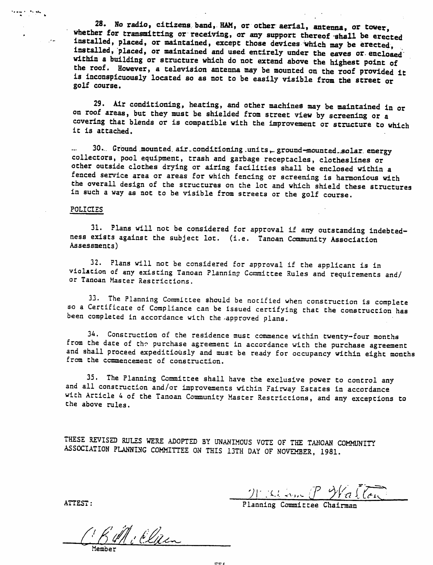28. Ho radio, citizens band, HAM, or other aerial, antenna, or tower, whether for transmitting or receiving, or any support thereof shall be erected installed, placed, or maintained, except those devices which may be erected, installed, placed, or maintained and used entirely under the eaves or.enclosed within a building or structure which do not extend above the highest point of the roof. However, a television antenna may be mounted on the roof provided it is inconspicuously located so as not to be easily visible from the street or golf course.

29. Air conditioning, heating, and other machines may be maintained in or on roof areas, but they must be shielded from street view by screening or a covering that blends or is compatible with the improvement or structure to which it is attached.

30... Ground .mounted, air. conditioning .units **^** ground-mounted-.solar, energy collectors, pool equipment, trash and garbage receptacles, clotheslines or other outside clothes drying or airing facilities shall be enclosed within a fenced service area or areas for which fencing or screening is harmonious with the overall design of the structures on the lot and which shield these structures in such a way as not to be visible from streets or the golf course.

# POLICIES

teams to the

 $\sim 100$ 

31. Plans will not be considered for approval if any outstanding indebted ness exists against the subject lot. (i.e. Tanoan Community Association Assessments)

32. Plans will not be considered for approval if the applicant is in violation of any existing Tanoan Plannin? Committee Rules and requirements and/ or Tanoan Master Restrictions.

33. The Planning Committee should be notified when construction is complete so a Certificate of Compliance can be issued certifying that the construction has been completed in accordance with the .approved plans.

34. Construction of the residence must commence within twenty-four months from the date of the purchase agreement in accordance with the purchase agreement and shall proceed expeditiously and must be ready for occupancy within eight months from the commencement of construction.

35. The Planning Committee shall have the exclusive power to control any and all construction and/or improvements within Fairway Estates in accordance with Article 4 of the Tanoan Community Master Restrictions, and any exceptions to the above rules.

THESE REVISED RULES WERE ADOPTED BY UNANIMOUS VOTE OF THE TANOAN COMMUNITY ASSOCIATION PLANNING COMMITTEE ON THIS 13TH DAY OF NOVEMBER, 1981.

yr.-u **u^i? WtiUsl** ATTEST: Planning Committee Chairman

C.B.M. Elizen